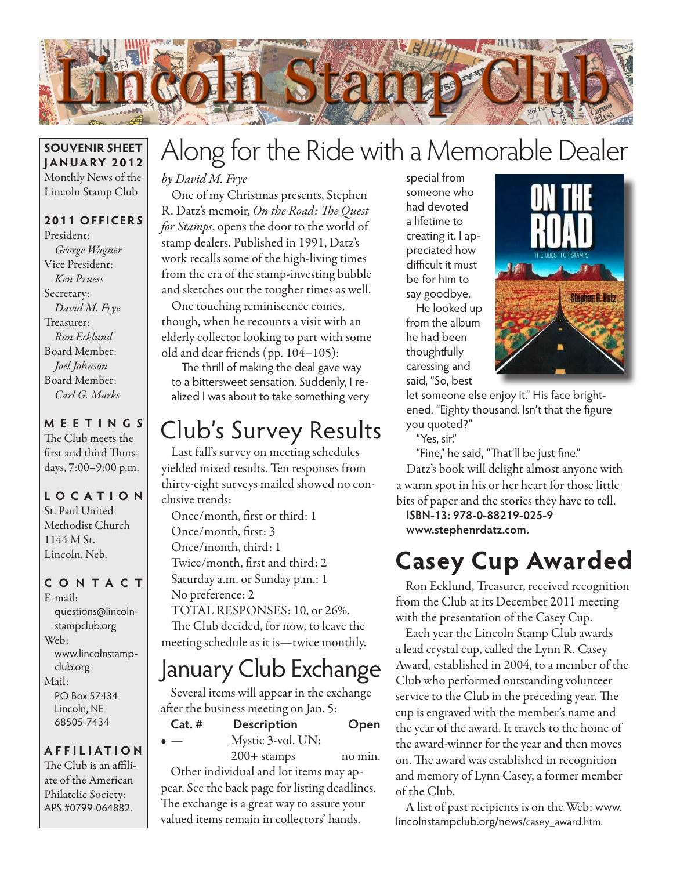

#### **SOUVENIR SHEET JANUARY 2012** Monthly News of the Lincoln Stamp Club

### **2011 OFFICERS**

President: *George Wagner* Vice President: *Ken Pruess* Secretary: *David M. Frye* Treasurer: *Ron Ecklund* Board Member: *Joel Johnson* Board Member: *Carl G. Marks*

### **MEETINGS**

The Club meets the first and third Thursdays, 7:00–9:00 p.m.

### **LO C ATI O N** St. Paul United

Methodist Church 1144 M St. Lincoln, Neb.

### **CONTACT**

E-mail: questions@lincolnstampclub.org Web: www.lincolnstampclub.org Mail: PO Box 57434 Lincoln, NE 68505-7434

#### **AFFI LIATI O N**

The Club is an affiliate of the American Philatelic Society: APS #0799-064882.

# Along for the Ride with a Memorable Dealer

*by David M. Frye*

One of my Christmas presents, Stephen R. Datz's memoir, *On the Road: The Quest for Stamps*, opens the door to the world of stamp dealers. Published in 1991, Datz's work recalls some of the high-living times from the era of the stamp-investing bubble and sketches out the tougher times as well.

One touching reminiscence comes, though, when he recounts a visit with an elderly collector looking to part with some old and dear friends (pp. 104–105):

The thrill of making the deal gave way to a bittersweet sensation. Suddenly, I realized I was about to take something very

## Club's Survey Results

Last fall's survey on meeting schedules yielded mixed results. Ten responses from thirty-eight surveys mailed showed no conclusive trends:

Once/month, first or third: 1 Once/month, first: 3 Once/month, third: 1 Twice/month, first and third: 2 Saturday a.m. or Sunday p.m.: 1 No preference: 2 TOTAL RESPONSES: 10, or 26%.

The Club decided, for now, to leave the meeting schedule as it is—twice monthly.

## January Club Exchange

Several items will appear in the exchange after the business meeting on Jan. 5:

- **Cat. # Description Open** Mystic 3-vol. UN;
	-

200+ stamps no min.

Other individual and lot items may appear. See the back page for listing deadlines. The exchange is a great way to assure your valued items remain in collectors' hands.

special from someone who had devoted a lifetime to creating it. I appreciated how difficult it must be for him to say goodbye.

He looked up from the album he had been thoughtfully caressing and said, "So, best



let someone else enjoy it." His face brightened. "Eighty thousand. Isn't that the figure you quoted?"

"Yes, sir."

"Fine," he said, "That'll be just fine." Datz's book will delight almost anyone with a warm spot in his or her heart for those little bits of paper and the stories they have to tell.

**ISBN-13: 978-0-88219-025-9 www.stephenrdatz.com.**

## **Casey Cup Awarded**

Ron Ecklund, Treasurer, received recognition from the Club at its December 2011 meeting with the presentation of the Casey Cup.

Each year the Lincoln Stamp Club awards a lead crystal cup, called the Lynn R. Casey Award, established in 2004, to a member of the Club who performed outstanding volunteer service to the Club in the preceding year. The cup is engraved with the member's name and the year of the award. It travels to the home of the award-winner for the year and then moves on. The award was established in recognition and memory of Lynn Casey, a former member of the Club.

A list of past recipients is on the Web: www. lincolnstampclub.org/news/casey\_award.htm.